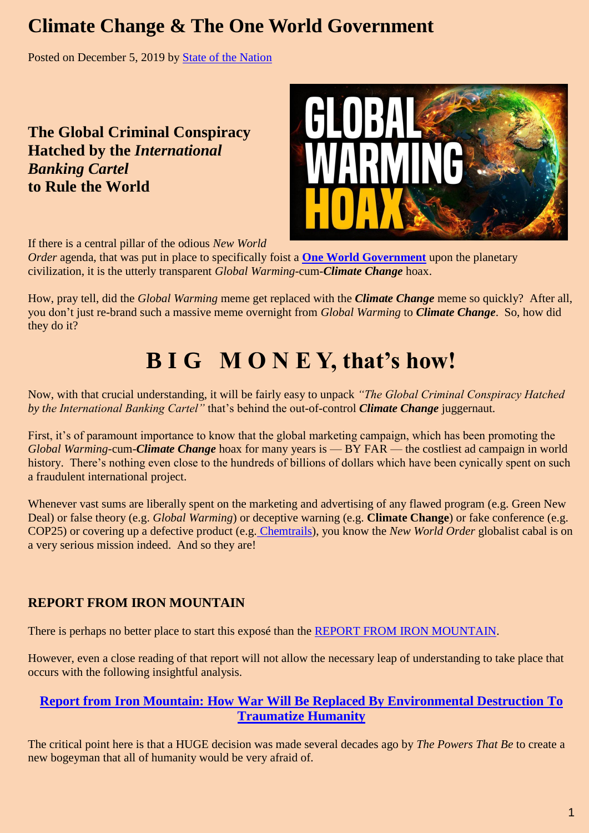## **Climate Change & The One World Government**

Posted on [December 5, 2019](http://stateofthenation.co/?p=666) by [State of the Nation](http://stateofthenation.co/?author=1)

**The Global Criminal Conspiracy Hatched by the** *International Banking Cartel* **to Rule the World**



If there is a central pillar of the odious *New World* 

*Order* agenda, that was put in place to specifically foist a **[One World Government](http://themillenniumreport.com/?s=one+world+government)** upon the planetary civilization, it is the utterly transparent *Global Warming*-cum-*Climate Change* hoax.

How, pray tell, did the *Global Warming* meme get replaced with the *Climate Change* meme so quickly? After all, you don't just re-brand such a massive meme overnight from *Global Warming* to *Climate Change*. So, how did they do it?

# **B I G M O N E Y, that's how!**

Now, with that crucial understanding, it will be fairly easy to unpack *"The Global Criminal Conspiracy Hatched by the International Banking Cartel"* that's behind the out-of-control *Climate Change* juggernaut.

First, it's of paramount importance to know that the global marketing campaign, which has been promoting the *Global Warming*-cum-*Climate Change* hoax for many years is — BY FAR — the costliest ad campaign in world history. There's nothing even close to the hundreds of billions of dollars which have been cynically spent on such a fraudulent international project.

Whenever vast sums are liberally spent on the marketing and advertising of any flawed program (e.g. Green New Deal) or false theory (e.g. *Global Warming*) or deceptive warning (e.g. **Climate Change**) or fake conference (e.g. COP25) or covering up a defective product (e.g. [Chemtrails\)](http://stateofthenation2012.com/?p=10890), you know the *New World Order* globalist cabal is on a very serious mission indeed. And so they are!

### **REPORT FROM IRON MOUNTAIN**

There is perhaps no better place to start this exposé than the [REPORT FROM IRON MOUNTAIN.](http://themillenniumreport.com/2015/12/report-from-iron-mountain-on-the-possibility-and-desirability-of-peace/)

However, even a close reading of that report will not allow the necessary leap of understanding to take place that occurs with the following insightful analysis.

### **[Report from Iron Mountain: How War Will Be Replaced By Environmental Destruction To](http://themillenniumreport.com/2015/12/report-from-iron-mountain-how-war-will-be-replaced-by-environmental-destruction-to-traumatize-humanity/)  [Traumatize Humanity](http://themillenniumreport.com/2015/12/report-from-iron-mountain-how-war-will-be-replaced-by-environmental-destruction-to-traumatize-humanity/)**

The critical point here is that a HUGE decision was made several decades ago by *The Powers That Be* to create a new bogeyman that all of humanity would be very afraid of.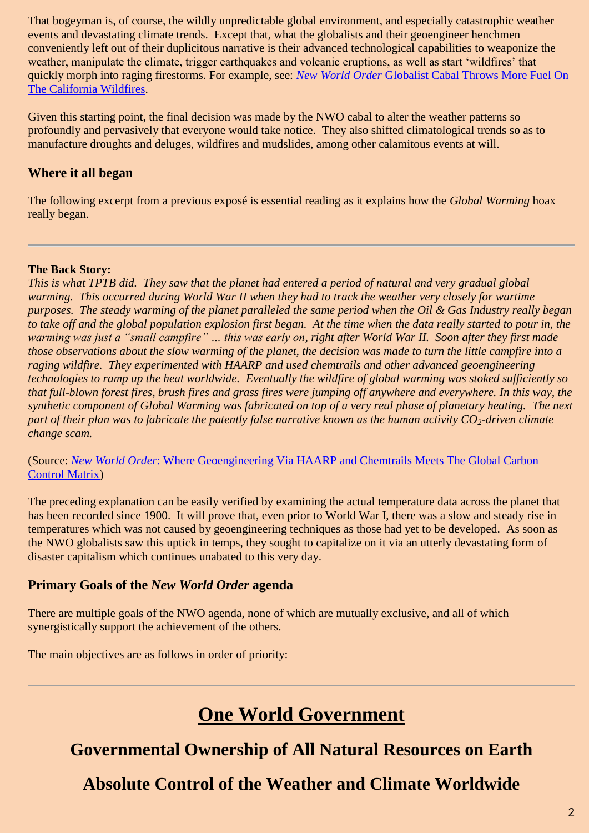That bogeyman is, of course, the wildly unpredictable global environment, and especially catastrophic weather events and devastating climate trends. Except that, what the globalists and their geoengineer henchmen conveniently left out of their duplicitous narrative is their advanced technological capabilities to weaponize the weather, manipulate the climate, trigger earthquakes and volcanic eruptions, as well as start 'wildfires' that quickly morph into raging firestorms. For example, see: *New World Order* [Globalist Cabal Throws More Fuel On](http://stateofthenation2012.com/?p=130519)  [The California Wildfires.](http://stateofthenation2012.com/?p=130519)

Given this starting point, the final decision was made by the NWO cabal to alter the weather patterns so profoundly and pervasively that everyone would take notice. They also shifted climatological trends so as to manufacture droughts and deluges, wildfires and mudslides, among other calamitous events at will.

### **Where it all began**

The following excerpt from a previous exposé is essential reading as it explains how the *Global Warming* hoax really began.

#### **The Back Story:**

*This is what TPTB did. They saw that the planet had entered a period of natural and very gradual global warming. This occurred during World War II when they had to track the weather very closely for wartime purposes. The steady warming of the planet paralleled the same period when the Oil & Gas Industry really began to take off and the global population explosion first began. At the time when the data really started to pour in, the warming was just a "small campfire" … this was early on, right after World War II. Soon after they first made those observations about the slow warming of the planet, the decision was made to turn the little campfire into a raging wildfire. They experimented with HAARP and used chemtrails and other advanced geoengineering technologies to ramp up the heat worldwide. Eventually the wildfire of global warming was stoked sufficiently so that full-blown forest fires, brush fires and grass fires were jumping off anywhere and everywhere. In this way, the synthetic component of Global Warming was fabricated on top of a very real phase of planetary heating. The next part of their plan was to fabricate the patently false narrative known as the human activity CO2-driven climate change scam.*

(Source: *New World Order*[: Where Geoengineering Via HAARP and Chemtrails Meets The Global Carbon](http://stateofthenation2012.com/?p=15986)  [Control Matrix\)](http://stateofthenation2012.com/?p=15986)

The preceding explanation can be easily verified by examining the actual temperature data across the planet that has been recorded since 1900. It will prove that, even prior to World War I, there was a slow and steady rise in temperatures which was not caused by geoengineering techniques as those had yet to be developed. As soon as the NWO globalists saw this uptick in temps, they sought to capitalize on it via an utterly devastating form of disaster capitalism which continues unabated to this very day.

### **Primary Goals of the** *New World Order* **agenda**

There are multiple goals of the NWO agenda, none of which are mutually exclusive, and all of which synergistically support the achievement of the others.

The main objectives are as follows in order of priority:

# **One World Government**

### **Governmental Ownership of All Natural Resources on Earth**

**Absolute Control of the Weather and Climate Worldwide**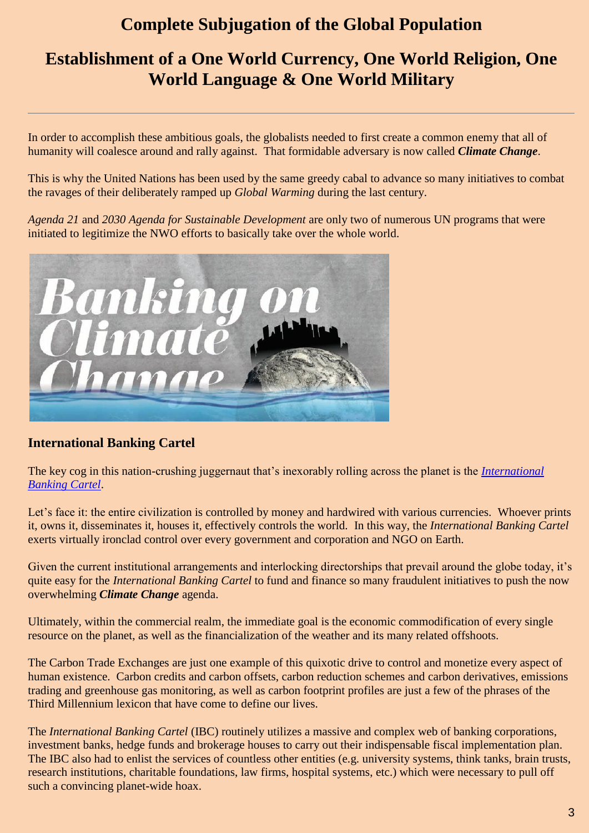### **Complete Subjugation of the Global Population**

### **Establishment of a One World Currency, One World Religion, One World Language & One World Military**

In order to accomplish these ambitious goals, the globalists needed to first create a common enemy that all of humanity will coalesce around and rally against. That formidable adversary is now called *Climate Change*.

This is why the United Nations has been used by the same greedy cabal to advance so many initiatives to combat the ravages of their deliberately ramped up *Global Warming* during the last century.

*Agenda 21* and *2030 Agenda for Sustainable Development* are only two of numerous UN programs that were initiated to legitimize the NWO efforts to basically take over the whole world.



### **International Banking Cartel**

The key cog in this nation-crushing juggernaut that's inexorably rolling across the planet is the *[International](http://themillenniumreport.com/?s=international+banking+cartel)  [Banking Cartel](http://themillenniumreport.com/?s=international+banking+cartel)*.

Let's face it: the entire civilization is controlled by money and hardwired with various currencies. Whoever prints it, owns it, disseminates it, houses it, effectively controls the world. In this way, the *International Banking Cartel* exerts virtually ironclad control over every government and corporation and NGO on Earth.

Given the current institutional arrangements and interlocking directorships that prevail around the globe today, it's quite easy for the *International Banking Cartel* to fund and finance so many fraudulent initiatives to push the now overwhelming *Climate Change* agenda.

Ultimately, within the commercial realm, the immediate goal is the economic commodification of every single resource on the planet, as well as the financialization of the weather and its many related offshoots.

The Carbon Trade Exchanges are just one example of this quixotic drive to control and monetize every aspect of human existence. Carbon credits and carbon offsets, carbon reduction schemes and carbon derivatives, emissions trading and greenhouse gas monitoring, as well as carbon footprint profiles are just a few of the phrases of the Third Millennium lexicon that have come to define our lives.

The *International Banking Cartel* (IBC) routinely utilizes a massive and complex web of banking corporations, investment banks, hedge funds and brokerage houses to carry out their indispensable fiscal implementation plan. The IBC also had to enlist the services of countless other entities (e.g. university systems, think tanks, brain trusts, research institutions, charitable foundations, law firms, hospital systems, etc.) which were necessary to pull off such a convincing planet-wide hoax.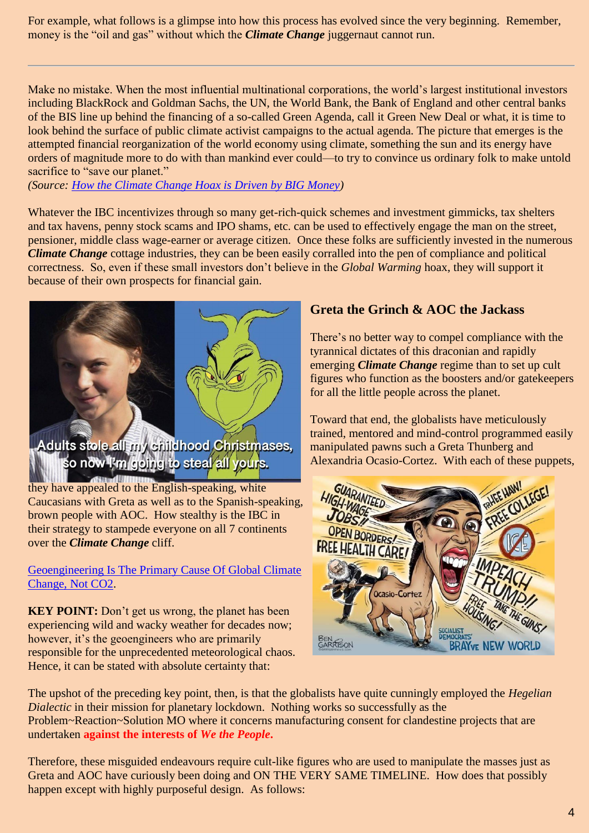For example, what follows is a glimpse into how this process has evolved since the very beginning. Remember, money is the "oil and gas" without which the *Climate Change* juggernaut cannot run.

Make no mistake. When the most influential multinational corporations, the world's largest institutional investors including BlackRock and Goldman Sachs, the UN, the World Bank, the Bank of England and other central banks of the BIS line up behind the financing of a so-called Green Agenda, call it Green New Deal or what, it is time to look behind the surface of public climate activist campaigns to the actual agenda. The picture that emerges is the attempted financial reorganization of the world economy using climate, something the sun and its energy have orders of magnitude more to do with than mankind ever could—to try to convince us ordinary folk to make untold sacrifice to "save our planet."

*(Source: [How the Climate Change Hoax is Driven by BIG Money\)](http://stateofthenation.co/?p=662)*

Whatever the IBC incentivizes through so many get-rich-quick schemes and investment gimmicks, tax shelters and tax havens, penny stock scams and IPO shams, etc. can be used to effectively engage the man on the street, pensioner, middle class wage-earner or average citizen. Once these folks are sufficiently invested in the numerous *Climate Change* cottage industries, they can be been easily corralled into the pen of compliance and political correctness. So, even if these small investors don't believe in the *Global Warming* hoax, they will support it because of their own prospects for financial gain.



Adults stole all my childhood Christmases, so now i'm going to steal all yours.

they have appealed to the English-speaking, white Caucasians with Greta as well as to the Spanish-speaking, brown people with AOC. How stealthy is the IBC in their strategy to stampede everyone on all 7 continents over the *Climate Change* cliff.

[Geoengineering Is The Primary Cause Of Global Climate](http://stateofthenation2012.com/?p=27876)  [Change, Not CO2.](http://stateofthenation2012.com/?p=27876)

**KEY POINT:** Don't get us wrong, the planet has been experiencing wild and wacky weather for decades now; however, it's the geoengineers who are primarily responsible for the unprecedented meteorological chaos. Hence, it can be stated with absolute certainty that:

### **Greta the Grinch & AOC the Jackass**

There's no better way to compel compliance with the tyrannical dictates of this draconian and rapidly emerging *Climate Change* regime than to set up cult figures who function as the boosters and/or gatekeepers for all the little people across the planet.

Toward that end, the globalists have meticulously trained, mentored and mind-control programmed easily manipulated pawns such a Greta Thunberg and Alexandria Ocasio-Cortez. With each of these puppets,



The upshot of the preceding key point, then, is that the globalists have quite cunningly employed the *Hegelian Dialectic* in their mission for planetary lockdown. Nothing works so successfully as the Problem~Reaction~Solution MO where it concerns manufacturing consent for clandestine projects that are undertaken **against the interests of** *We the People***.**

Therefore, these misguided endeavours require cult-like figures who are used to manipulate the masses just as Greta and AOC have curiously been doing and ON THE VERY SAME TIMELINE. How does that possibly happen except with highly purposeful design. As follows: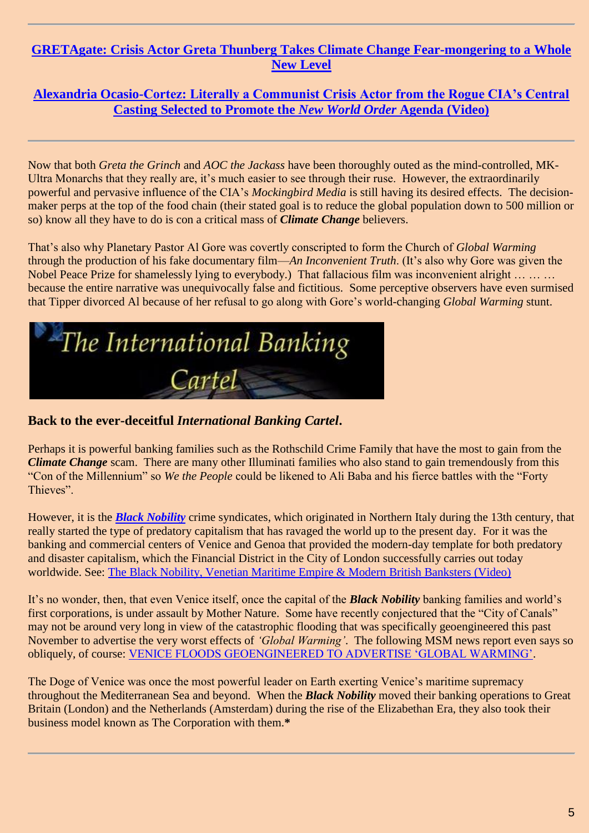### **[GRETAgate: Crisis Actor Greta Thunberg Takes Climate Change Fear-mongering to a Whole](http://stateofthenation2012.com/?p=128537)  [New Level](http://stateofthenation2012.com/?p=128537)**

### **[Alexandria Ocasio-Cortez: Literally a Communist Crisis Actor from the Rogue CIA's Central](http://stateofthenation2012.com/?p=118245)  [Casting Selected to Promote the](http://stateofthenation2012.com/?p=118245)** *New World Order* **Agenda (Video)**

Now that both *Greta the Grinch* and *AOC the Jackass* have been thoroughly outed as the mind-controlled, MK-Ultra Monarchs that they really are, it's much easier to see through their ruse. However, the extraordinarily powerful and pervasive influence of the CIA's *Mockingbird Media* is still having its desired effects. The decisionmaker perps at the top of the food chain (their stated goal is to reduce the global population down to 500 million or so) know all they have to do is con a critical mass of *Climate Change* believers.

That's also why Planetary Pastor Al Gore was covertly conscripted to form the Church of *Global Warming* through the production of his fake documentary film—*An Inconvenient Truth*. (It's also why Gore was given the Nobel Peace Prize for shamelessly lying to everybody.) That fallacious film was inconvenient alright … … … because the entire narrative was unequivocally false and fictitious. Some perceptive observers have even surmised that Tipper divorced Al because of her refusal to go along with Gore's world-changing *Global Warming* stunt.



### **Back to the ever-deceitful** *International Banking Cartel***.**

Perhaps it is powerful banking families such as the Rothschild Crime Family that have the most to gain from the *Climate Change* scam. There are many other Illuminati families who also stand to gain tremendously from this "Con of the Millennium" so *We the People* could be likened to Ali Baba and his fierce battles with the "Forty Thieves".

However, it is the *[Black Nobility](http://themillenniumreport.com/?s=black+nobility)* crime syndicates, which originated in Northern Italy during the 13th century, that really started the type of predatory capitalism that has ravaged the world up to the present day. For it was the banking and commercial centers of Venice and Genoa that provided the modern-day template for both predatory and disaster capitalism, which the Financial District in the City of London successfully carries out today worldwide. See: [The Black Nobility, Venetian Maritime Empire & Modern British Banksters \(Video\)](http://stateofthenation.co/?p=731)

It's no wonder, then, that even Venice itself, once the capital of the *Black Nobility* banking families and world's first corporations, is under assault by Mother Nature. Some have recently conjectured that the "City of Canals" may not be around very long in view of the catastrophic flooding that was specifically geoengineered this past November to advertise the very worst effects of *"Global Warming"*. The following MSM news report even says so obliquely, of course: VENICE FLOODS GEOENGINEERED TO ADVERTISE 'GLOBAL WARMING'.

The Doge of Venice was once the most powerful leader on Earth exerting Venice's maritime supremacy throughout the Mediterranean Sea and beyond. When the *Black Nobility* moved their banking operations to Great Britain (London) and the Netherlands (Amsterdam) during the rise of the Elizabethan Era, they also took their business model known as The Corporation with them.**\***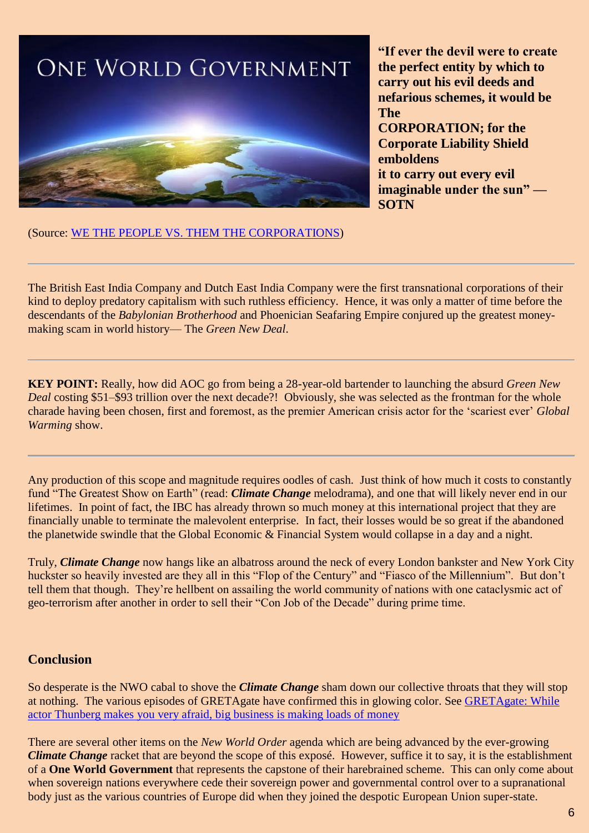

**"If ever the devil were to create the perfect entity by which to carry out his evil deeds and nefarious schemes, it would be The CORPORATION; for the Corporate Liability Shield emboldens it to carry out every evil imaginable under the sun" — SOTN**

(Source: [WE THE PEOPLE VS. THEM THE CORPORATIONS\)](https://stateofthenation2012.com/?p=99777)

The British East India Company and Dutch East India Company were the first transnational corporations of their kind to deploy predatory capitalism with such ruthless efficiency. Hence, it was only a matter of time before the descendants of the *Babylonian Brotherhood* and Phoenician Seafaring Empire conjured up the greatest moneymaking scam in world history— The *Green New Deal*.

**KEY POINT:** Really, how did AOC go from being a 28-year-old bartender to launching the absurd *Green New Deal* costing \$51–\$93 trillion over the next decade?! Obviously, she was selected as the frontman for the whole charade having been chosen, first and foremost, as the premier American crisis actor for the 'scariest ever' *Global Warming* show.

Any production of this scope and magnitude requires oodles of cash. Just think of how much it costs to constantly fund "The Greatest Show on Earth" (read: *Climate Change* melodrama), and one that will likely never end in our lifetimes. In point of fact, the IBC has already thrown so much money at this international project that they are financially unable to terminate the malevolent enterprise. In fact, their losses would be so great if the abandoned the planetwide swindle that the Global Economic & Financial System would collapse in a day and a night.

Truly, *Climate Change* now hangs like an albatross around the neck of every London bankster and New York City huckster so heavily invested are they all in this "Flop of the Century" and "Fiasco of the Millennium". But don't tell them that though. They're hellbent on assailing the world community of nations with one cataclysmic act of geo-terrorism after another in order to sell their "Con Job of the Decade" during prime time.

### **Conclusion**

So desperate is the NWO cabal to shove the *Climate Change* sham down our collective throats that they will stop at nothing. The various episodes of GRETAgate have confirmed this in glowing color. See [GRETAgate: While](http://stateofthenation2012.com/?p=128521)  [actor Thunberg makes you very afraid, big business is making loads of money](http://stateofthenation2012.com/?p=128521)

There are several other items on the *New World Order* agenda which are being advanced by the ever-growing *Climate Change* racket that are beyond the scope of this exposé. However, suffice it to say, it is the establishment of a **One World Government** that represents the capstone of their harebrained scheme. This can only come about when sovereign nations everywhere cede their sovereign power and governmental control over to a supranational body just as the various countries of Europe did when they joined the despotic European Union super-state.